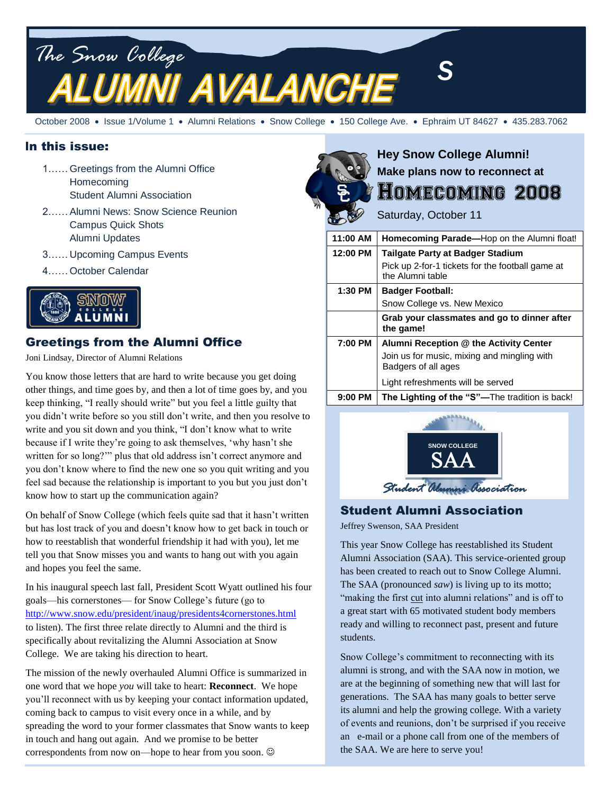

October 2008 · Issue 1/Volume 1 · Alumni Relations · Snow College · 150 College Ave. · Ephraim UT 84627 · 435.283.7062

#### In this issue:

- 1……Greetings from the Alumni Office Homecoming Student Alumni Association
- 2……Alumni News: Snow Science Reunion Campus Quick Shots Alumni Updates
- 3……Upcoming Campus Events
- 4……October Calendar



## Greetings from the Alumni Office

Joni Lindsay, Director of Alumni Relations

You know those letters that are hard to write because you get doing other things, and time goes by, and then a lot of time goes by, and you keep thinking, "I really should write" but you feel a little guilty that you didn"t write before so you still don"t write, and then you resolve to write and you sit down and you think, "I don"t know what to write because if I write they"re going to ask themselves, "why hasn"t she written for so long?"" plus that old address isn't correct anymore and you don"t know where to find the new one so you quit writing and you feel sad because the relationship is important to you but you just don"t know how to start up the communication again?

On behalf of Snow College (which feels quite sad that it hasn"t written but has lost track of you and doesn"t know how to get back in touch or how to reestablish that wonderful friendship it had with you), let me tell you that Snow misses you and wants to hang out with you again and hopes you feel the same.

In his inaugural speech last fall, President Scott Wyatt outlined his four goals—his cornerstones— for Snow College"s future (go to <http://www.snow.edu/president/inaug/presidents4cornerstones.html> to listen). The first three relate directly to Alumni and the third is specifically about revitalizing the Alumni Association at Snow College. We are taking his direction to heart.

The mission of the newly overhauled Alumni Office is summarized in one word that we hope *you* will take to heart: **Reconnect**. We hope you"ll reconnect with us by keeping your contact information updated, coming back to campus to visit every once in a while, and by spreading the word to your former classmates that Snow wants to keep in touch and hang out again. And we promise to be better correspondents from now on—hope to hear from you soon.



# **Hey Snow College Alumni! Make plans now to reconnect at** Homecoming 2008

Saturday, October 11

| 11:00 AM  | Homecoming Parade-Hop on the Alumni float!                           |  |  |
|-----------|----------------------------------------------------------------------|--|--|
| 12:00 PM  | Tailgate Party at Badger Stadium                                     |  |  |
|           | Pick up 2-for-1 tickets for the football game at<br>the Alumni table |  |  |
| $1:30$ PM | <b>Badger Football:</b>                                              |  |  |
|           | Snow College vs. New Mexico                                          |  |  |
|           | Grab your classmates and go to dinner after<br>the game!             |  |  |
| 7:00 PM   | Alumni Reception @ the Activity Center                               |  |  |
|           | Join us for music, mixing and mingling with<br>Badgers of all ages   |  |  |
|           | Light refreshments will be served                                    |  |  |
| 9:00 PM   | The Lighting of the "S"—The tradition is back!                       |  |  |



# Student Alumni Association

Jeffrey Swenson, SAA President

This year Snow College has reestablished its Student Alumni Association (SAA). This service-oriented group has been created to reach out to Snow College Alumni. The SAA (pronounced *saw*) is living up to its motto; "making the first cut into alumni relations" and is off to a great start with 65 motivated student body members ready and willing to reconnect past, present and future students. re<br>T<br>t t

Snow College"s commitment to reconnecting with its alumni is strong, and with the SAA now in motion, we are at the beginning of something new that will last for generations. The SAA has many goals to better serve its alumni and help the growing college. With a variety of events and reunions, don"t be surprised if you receive an e-mail or a phone call from one of the members of the SAA. We are here to serve you!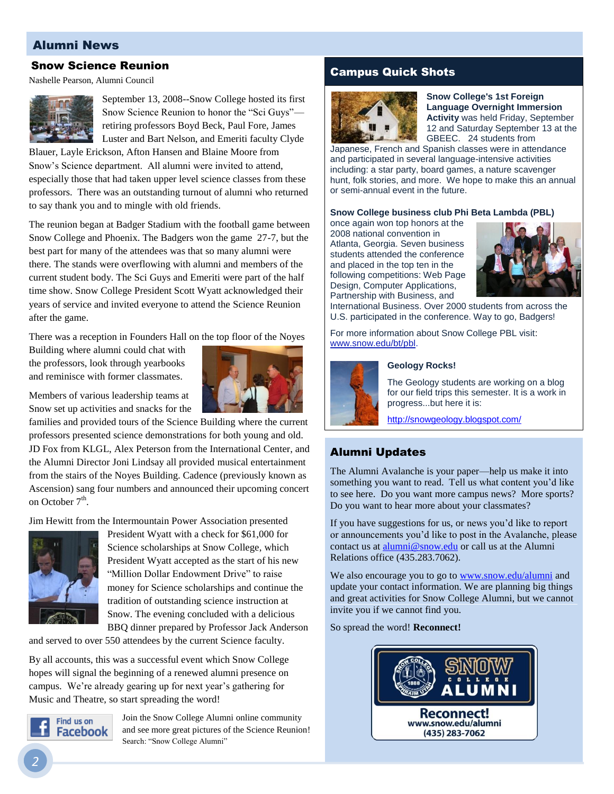## Alumni News

### Snow Science Reunion

Nashelle Pearson, Alumni Council



September 13, 2008--Snow College hosted its first Snow Science Reunion to honor the "Sci Guys" retiring professors Boyd Beck, Paul Fore, James Luster and Bart Nelson, and Emeriti faculty Clyde

Blauer, Layle Erickson, Afton Hansen and Blaine Moore from Snow"s Science department. All alumni were invited to attend, especially those that had taken upper level science classes from these professors. There was an outstanding turnout of alumni who returned to say thank you and to mingle with old friends.

The reunion began at Badger Stadium with the football game between Snow College and Phoenix. The Badgers won the game 27-7, but the best part for many of the attendees was that so many alumni were there. The stands were overflowing with alumni and members of the current student body. The Sci Guys and Emeriti were part of the half time show. Snow College President Scott Wyatt acknowledged their years of service and invited everyone to attend the Science Reunion after the game.

There was a reception in Founders Hall on the top floor of the Noyes

Building where alumni could chat with the professors, look through yearbooks and reminisce with former classmates.

Members of various leadership teams at Snow set up activities and snacks for the



families and provided tours of the Science Building where the current professors presented science demonstrations for both young and old. JD Fox from KLGL, Alex Peterson from the International Center, and the Alumni Director Joni Lindsay all provided musical entertainment from the stairs of the Noyes Building. Cadence (previously known as Ascension) sang four numbers and announced their upcoming concert on October 7<sup>th</sup>.

Jim Hewitt from the Intermountain Power Association presented



President Wyatt with a check for \$61,000 for Science scholarships at Snow College, which President Wyatt accepted as the start of his new "Million Dollar Endowment Drive" to raise money for Science scholarships and continue the tradition of outstanding science instruction at Snow. The evening concluded with a delicious BBQ dinner prepared by Professor Jack Anderson

and served to over 550 attendees by the current Science faculty.

By all accounts, this was a successful event which Snow College hopes will signal the beginning of a renewed alumni presence on campus. We're already gearing up for next year's gathering for Music and Theatre, so start spreading the word!



Join the Snow College Alumni online community and see more great pictures of the Science Reunion! Search: "Snow College Alumni"

## Campus Quick Shots



**Snow College's 1st Foreign Language Overnight Immersion Activity** was held Friday, September 12 and Saturday September 13 at the GBEEC. 24 students from

Japanese, French and Spanish classes were in attendance and participated in several language-intensive activities including: a star party, board games, a nature scavenger hunt, folk stories, and more. We hope to make this an annual or semi-annual event in the future.

**Snow College business club Phi Beta Lambda (PBL)**

once again won top honors at the 2008 national convention in Atlanta, Georgia. Seven business students attended the conference and placed in the top ten in the following competitions: Web Page Design, Computer Applications, Partnership with Business, and



International Business. Over 2000 students from across the U.S. participated in the conference. Way to go, Badgers!

For more information about Snow College PBL visit: www.snow.edu/bt/pbl.



#### **Geology Rocks!**

The Geology students are working on a blog for our field trips this semester. It is a work in progress...but here it is:

<http://snowgeology.blogspot.com/>

## Alumni Updates

The Alumni Avalanche is your paper—help us make it into something you want to read. Tell us what content you"d like to see here. Do you want more campus news? More sports? Do you want to hear more about your classmates?

If you have suggestions for us, or news you"d like to report or announcements you"d like to post in the Avalanche, please contact us at **[alumni@snow.edu](mailto:alumni@snow.edu)** or call us at the Alumni Relations office (435.283.7062).

We also encourage you to go t[o www.snow.edu/alumni](http://www.snow.edu/alumni) and update your contact information. We are planning big things and great activities for Snow College Alumni, but we cannot invite you if we cannot find you.

So spread the word! **Reconnect!**

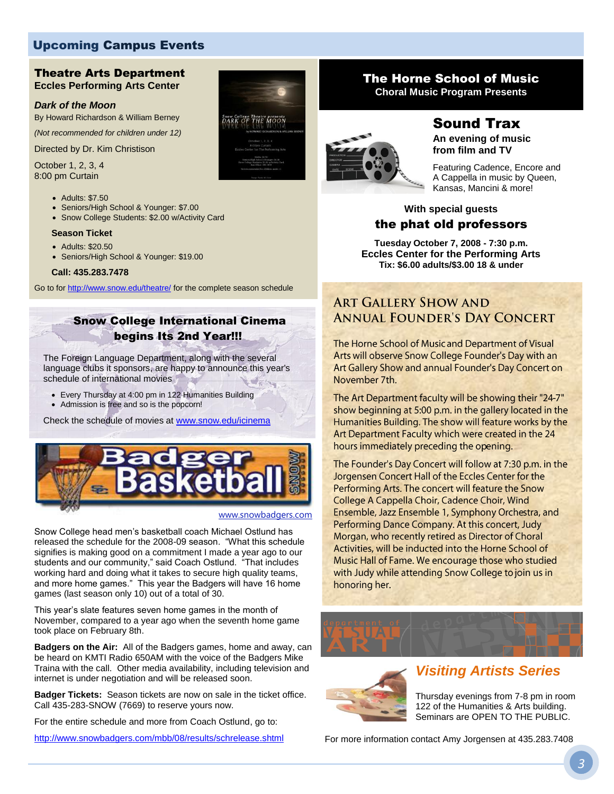## Upcoming Campus Events

#### Theatre Arts Department **Eccles Performing Arts Center**

#### *Dark of the Moon*

By Howard Richardson & William Berney

*(Not recommended for children under 12)*

Directed by Dr. Kim Christison

October 1, 2, 3, 4 8:00 pm Curtain

- Adults: \$7.50
- Seniors/High School & Younger: \$7.00
- Snow College Students: \$2.00 w/Activity Card

#### **Season Ticket**

- Adults: \$20.50
- Seniors/High School & Younger: \$19.00

#### **Call: 435.283.7478**

Go to fo[r http://www.snow.edu/theatre/](http://www.snow.edu/theatre/) for the complete season schedule

## Snow College International Cinema begins Its 2nd Year!!!

The Foreign Language Department, along with the several language clubs it sponsors, are happy to announce this year's schedule of international movies

- Every Thursday at 4:00 pm in 122 Humanities Building
- Admission is free and so is the popcorn!

Check the schedule of movies at [www.snow.edu/icinema](http://www.snow.edu/icinema)



#### www.snowbadgers.com

Snow College head men's basketball coach Michael Ostlund has released the schedule for the 2008-09 season. "What this schedule signifies is making good on a commitment I made a year ago to our students and our community," said Coach Ostlund. "That includes working hard and doing what it takes to secure high quality teams, and more home games." This year the Badgers will have 16 home games (last season only 10) out of a total of 30.

This year's slate features seven home games in the month of November, compared to a year ago when the seventh home game took place on February 8th.

**Badgers on the Air:** All of the Badgers games, home and away, can be heard on KMTI Radio 650AM with the voice of the Badgers Mike Traina with the call. Other media availability, including television and internet is under negotiation and will be released soon.

**Badger Tickets:** Season tickets are now on sale in the ticket office. Call 435-283-SNOW (7669) to reserve yours now.

For the entire schedule and more from Coach Ostlund, go to:

<http://www.snowbadgers.com/mbb/08/results/schrelease.shtml>



## The Horne School of Music

**Choral Music Program Presents**



## Sound Trax

**An evening of music from film and TV**

Featuring Cadence, Encore and A Cappella in music by Queen, Kansas, Mancini & more!

## **With special guests** the phat old professors

**Tuesday October 7, 2008 - 7:30 p.m. Eccles Center for the Performing Arts Tix: \$6.00 adults/\$3.00 18 & under**

## **ART GALLERY SHOW AND ANNUAL FOUNDER'S DAY CONCERT**

The Horne School of Music and Department of Visual Arts will observe Snow College Founder's Day with an Art Gallery Show and annual Founder's Day Concert on November 7th.

The Art Department faculty will be showing their "24-7" show beginning at 5:00 p.m. in the gallery located in the Humanities Building. The show will feature works by the Art Department Faculty which were created in the 24 hours immediately preceding the opening.

The Founder's Day Concert will follow at 7:30 p.m. in the Jorgensen Concert Hall of the Eccles Center for the Performing Arts. The concert will feature the Snow College A Cappella Choir, Cadence Choir, Wind Ensemble, Jazz Ensemble 1, Symphony Orchestra, and Performing Dance Company. At this concert, Judy Morgan, who recently retired as Director of Choral Activities, will be inducted into the Horne School of Music Hall of Fame. We encourage those who studied with Judy while attending Snow College to join us in honoring her.





# *Visiting Artists Series*

Thursday evenings from 7-8 pm in room 122 of the Humanities & Arts building. Seminars are OPEN TO THE PUBLIC.

For more information contac[t Amy Jorgensen](mailto:amy.jorgensen@snow.edu) at 435.283.7408